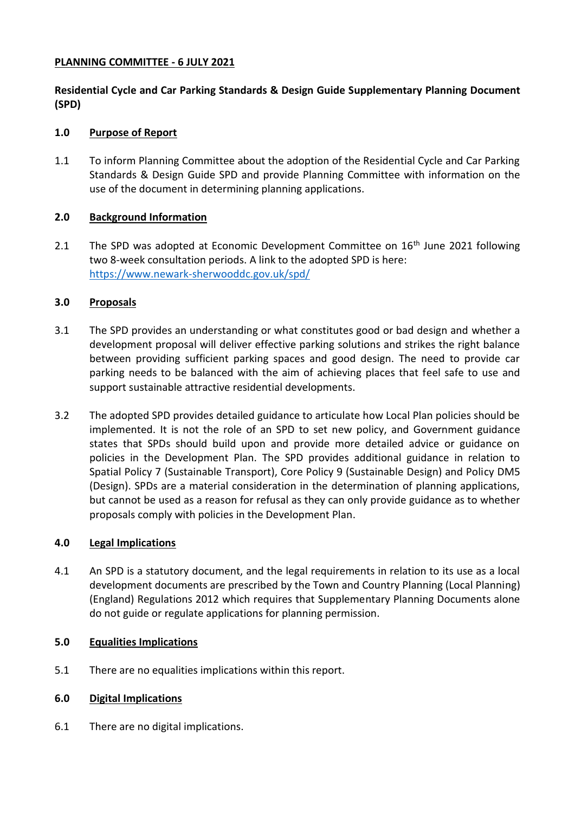## **PLANNING COMMITTEE - 6 JULY 2021**

**Residential Cycle and Car Parking Standards & Design Guide Supplementary Planning Document (SPD)**

# **1.0 Purpose of Report**

1.1 To inform Planning Committee about the adoption of the Residential Cycle and Car Parking Standards & Design Guide SPD and provide Planning Committee with information on the use of the document in determining planning applications.

# **2.0 Background Information**

2.1 The SPD was adopted at Economic Development Committee on  $16<sup>th</sup>$  June 2021 following two 8-week consultation periods. A link to the adopted SPD is here: <https://www.newark-sherwooddc.gov.uk/spd/>

# **3.0 Proposals**

- 3.1 The SPD provides an understanding or what constitutes good or bad design and whether a development proposal will deliver effective parking solutions and strikes the right balance between providing sufficient parking spaces and good design. The need to provide car parking needs to be balanced with the aim of achieving places that feel safe to use and support sustainable attractive residential developments.
- 3.2 The adopted SPD provides detailed guidance to articulate how Local Plan policies should be implemented. It is not the role of an SPD to set new policy, and Government guidance states that SPDs should build upon and provide more detailed advice or guidance on policies in the Development Plan. The SPD provides additional guidance in relation to Spatial Policy 7 (Sustainable Transport), Core Policy 9 (Sustainable Design) and Policy DM5 (Design). SPDs are a material consideration in the determination of planning applications, but cannot be used as a reason for refusal as they can only provide guidance as to whether proposals comply with policies in the Development Plan.

## **4.0 Legal Implications**

4.1 An SPD is a statutory document, and the legal requirements in relation to its use as a local development documents are prescribed by the Town and Country Planning (Local Planning) (England) Regulations 2012 which requires that Supplementary Planning Documents alone do not guide or regulate applications for planning permission.

## **5.0 Equalities Implications**

5.1 There are no equalities implications within this report.

## **6.0 Digital Implications**

6.1 There are no digital implications.